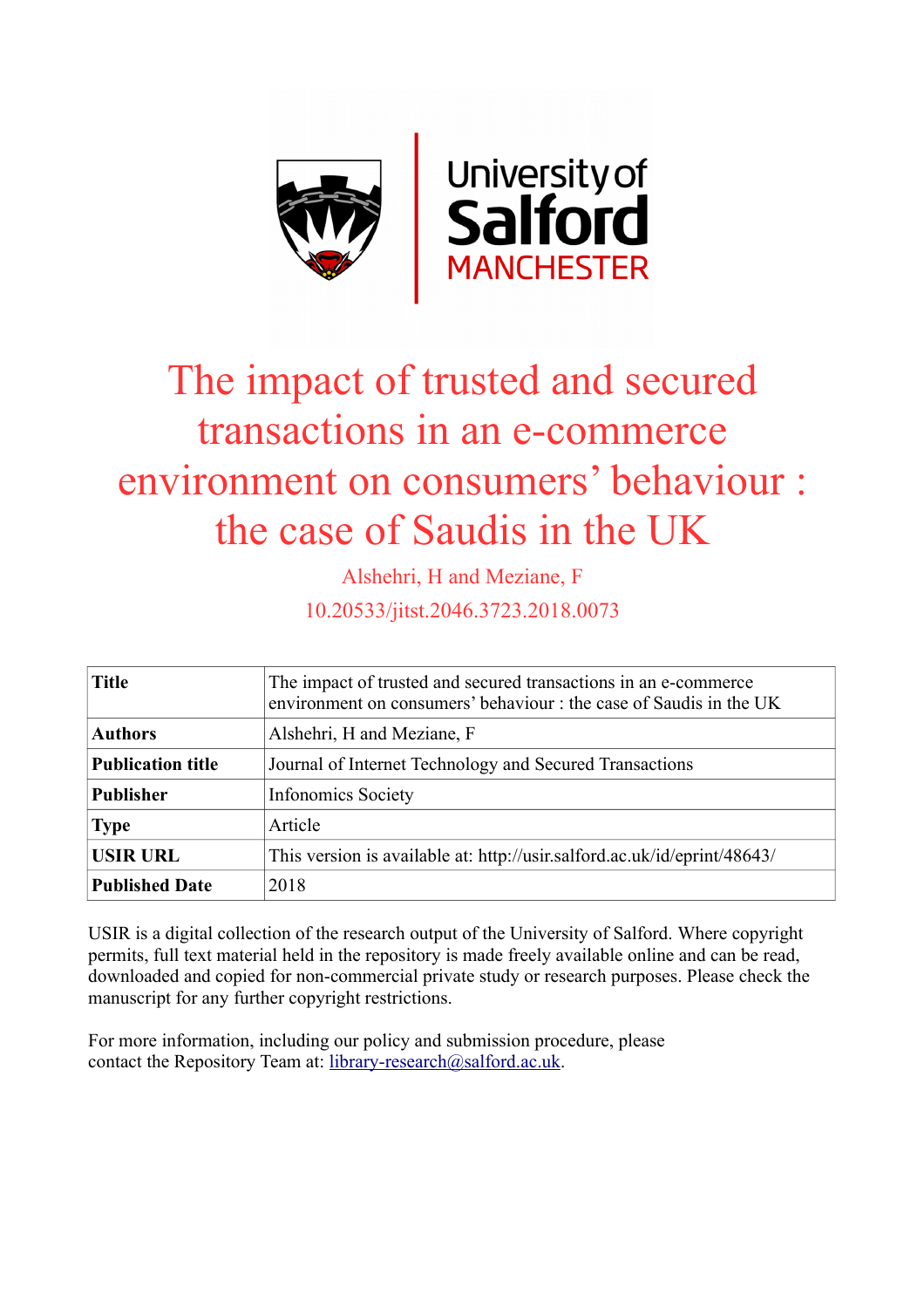

# The impact of trusted and secured transactions in an e-commerce environment on consumers' behaviour : the case of Saudis in the UK

Alshehri, H and Meziane, F

10.20533/jitst.2046.3723.2018.0073

| <b>Title</b>             | The impact of trusted and secured transactions in an e-commerce<br>environment on consumers' behaviour : the case of Saudis in the UK |  |  |  |
|--------------------------|---------------------------------------------------------------------------------------------------------------------------------------|--|--|--|
| <b>Authors</b>           | Alshehri, H and Meziane, F                                                                                                            |  |  |  |
| <b>Publication title</b> | Journal of Internet Technology and Secured Transactions                                                                               |  |  |  |
| <b>Publisher</b>         | <b>Infonomics Society</b>                                                                                                             |  |  |  |
| <b>Type</b>              | Article                                                                                                                               |  |  |  |
| <b>USIR URL</b>          | This version is available at: http://usir.salford.ac.uk/id/eprint/48643/                                                              |  |  |  |
| <b>Published Date</b>    | 2018                                                                                                                                  |  |  |  |

USIR is a digital collection of the research output of the University of Salford. Where copyright permits, full text material held in the repository is made freely available online and can be read, downloaded and copied for non-commercial private study or research purposes. Please check the manuscript for any further copyright restrictions.

For more information, including our policy and submission procedure, please contact the Repository Team at: [library-research@salford.ac.uk.](mailto:library-research@salford.ac.uk)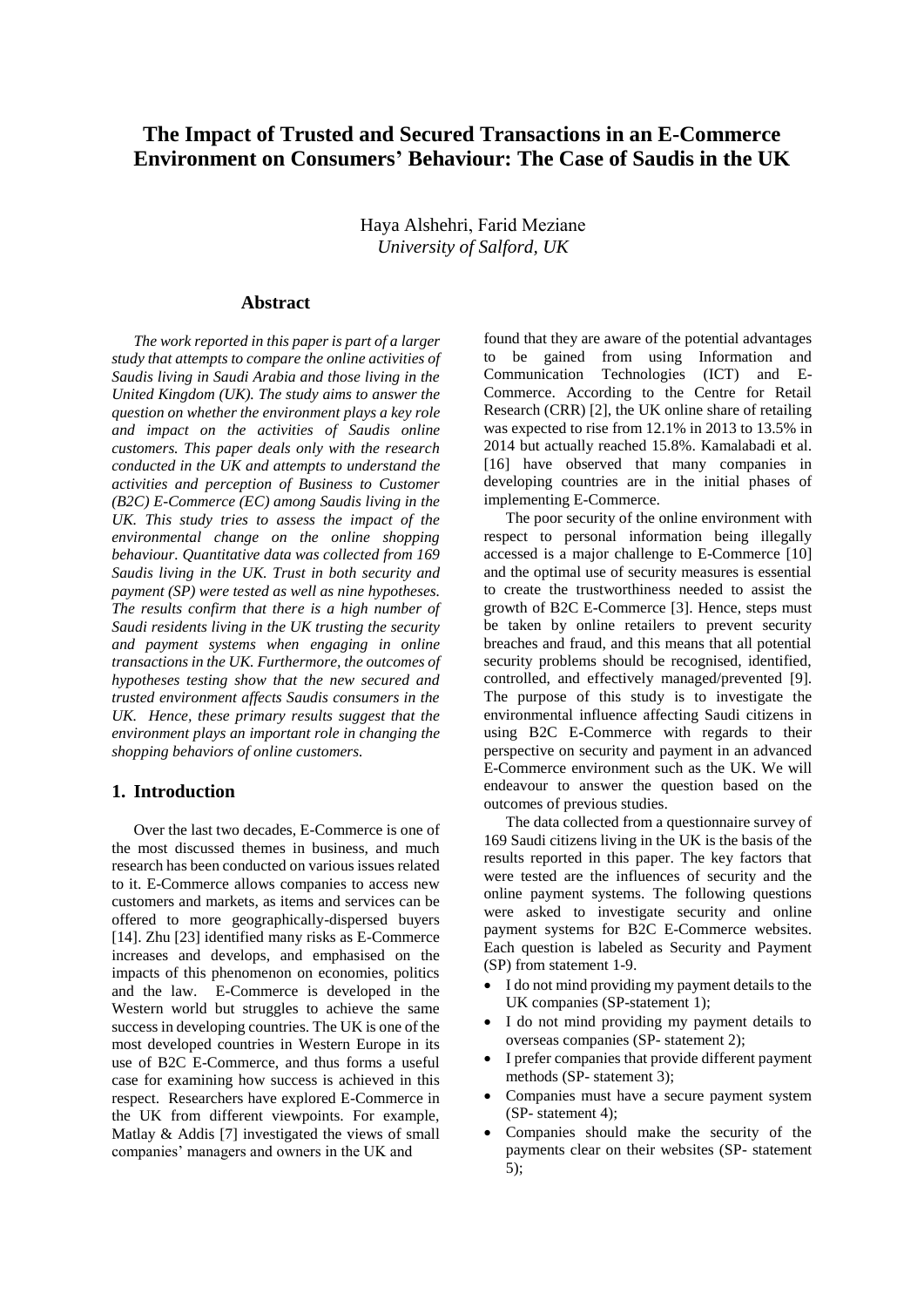# **The Impact of Trusted and Secured Transactions in an E-Commerce Environment on Consumers' Behaviour: The Case of Saudis in the UK**

Haya Alshehri, Farid Meziane *University of Salford, UK* 

#### **Abstract**

*The work reported in this paper is part of a larger study that attempts to compare the online activities of Saudis living in Saudi Arabia and those living in the United Kingdom (UK). The study aims to answer the question on whether the environment plays a key role and impact on the activities of Saudis online customers. This paper deals only with the research conducted in the UK and attempts to understand the activities and perception of Business to Customer (B2C) E-Commerce (EC) among Saudis living in the UK. This study tries to assess the impact of the environmental change on the online shopping behaviour. Quantitative data was collected from 169 Saudis living in the UK. Trust in both security and payment (SP) were tested as well as nine hypotheses. The results confirm that there is a high number of Saudi residents living in the UK trusting the security and payment systems when engaging in online transactions in the UK. Furthermore, the outcomes of hypotheses testing show that the new secured and trusted environment affects Saudis consumers in the UK. Hence, these primary results suggest that the environment plays an important role in changing the shopping behaviors of online customers.* 

# **1. Introduction**

Over the last two decades, E-Commerce is one of the most discussed themes in business, and much research has been conducted on various issues related to it. E-Commerce allows companies to access new customers and markets, as items and services can be offered to more geographically-dispersed buyers [14]. Zhu [23] identified many risks as E-Commerce increases and develops, and emphasised on the impacts of this phenomenon on economies, politics and the law. E-Commerce is developed in the Western world but struggles to achieve the same success in developing countries. The UK is one of the most developed countries in Western Europe in its use of B2C E-Commerce, and thus forms a useful case for examining how success is achieved in this respect. Researchers have explored E-Commerce in the UK from different viewpoints. For example, Matlay & Addis [7] investigated the views of small companies' managers and owners in the UK and

found that they are aware of the potential advantages to be gained from using Information and Communication Technologies (ICT) and E-Commerce. According to the Centre for Retail Research (CRR) [2], the UK online share of retailing was expected to rise from 12.1% in 2013 to 13.5% in 2014 but actually reached 15.8%. Kamalabadi et al. [16] have observed that many companies in developing countries are in the initial phases of implementing E-Commerce.

The poor security of the online environment with respect to personal information being illegally accessed is a major challenge to E-Commerce [10] and the optimal use of security measures is essential to create the trustworthiness needed to assist the growth of B2C E-Commerce [3]. Hence, steps must be taken by online retailers to prevent security breaches and fraud, and this means that all potential security problems should be recognised, identified, controlled, and effectively managed/prevented [9]. The purpose of this study is to investigate the environmental influence affecting Saudi citizens in using B2C E-Commerce with regards to their perspective on security and payment in an advanced E-Commerce environment such as the UK. We will endeavour to answer the question based on the outcomes of previous studies.

The data collected from a questionnaire survey of 169 Saudi citizens living in the UK is the basis of the results reported in this paper. The key factors that were tested are the influences of security and the online payment systems. The following questions were asked to investigate security and online payment systems for B2C E-Commerce websites. Each question is labeled as Security and Payment (SP) from statement 1-9.

- I do not mind providing my payment details to the UK companies (SP-statement 1);
- I do not mind providing my payment details to overseas companies (SP- statement 2);
- I prefer companies that provide different payment methods (SP- statement 3);
- Companies must have a secure payment system (SP- statement 4);
- Companies should make the security of the payments clear on their websites (SP- statement 5);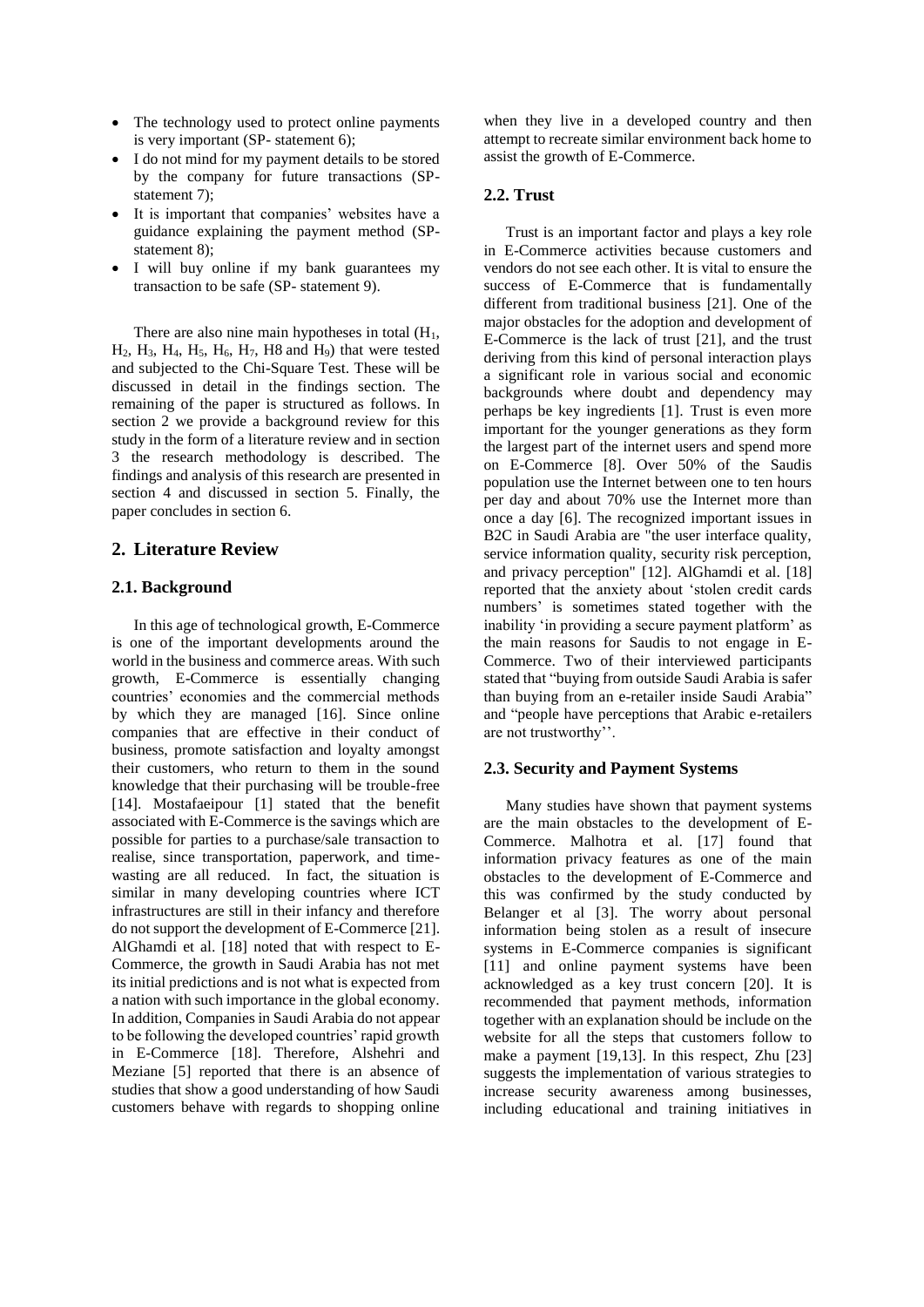- The technology used to protect online payments is very important (SP- statement 6);
- I do not mind for my payment details to be stored by the company for future transactions (SPstatement 7);
- It is important that companies' websites have a guidance explaining the payment method (SPstatement 8);
- I will buy online if my bank guarantees my transaction to be safe (SP- statement 9).

There are also nine main hypotheses in total  $(H<sub>1</sub>,$  $H_2$ ,  $H_3$ ,  $H_4$ ,  $H_5$ ,  $H_6$ ,  $H_7$ ,  $H_8$  and  $H_9$ ) that were tested and subjected to the Chi-Square Test. These will be discussed in detail in the findings section. The remaining of the paper is structured as follows. In section 2 we provide a background review for this study in the form of a literature review and in section 3 the research methodology is described. The findings and analysis of this research are presented in section 4 and discussed in section 5. Finally, the paper concludes in section 6.

#### **2. Literature Review**

#### **2.1. Background**

In this age of technological growth, E-Commerce is one of the important developments around the world in the business and commerce areas. With such growth, E-Commerce is essentially changing countries' economies and the commercial methods by which they are managed [16]. Since online companies that are effective in their conduct of business, promote satisfaction and loyalty amongst their customers, who return to them in the sound knowledge that their purchasing will be trouble-free [14]. Mostafaeipour [1] stated that the benefit associated with E-Commerce is the savings which are possible for parties to a purchase/sale transaction to realise, since transportation, paperwork, and timewasting are all reduced. In fact, the situation is similar in many developing countries where ICT infrastructures are still in their infancy and therefore do not support the development of E-Commerce [21]. AlGhamdi et al. [18] noted that with respect to E-Commerce, the growth in Saudi Arabia has not met its initial predictions and is not what is expected from a nation with such importance in the global economy. In addition, Companies in Saudi Arabia do not appear to be following the developed countries' rapid growth in E-Commerce [18]. Therefore, Alshehri and Meziane [5] reported that there is an absence of studies that show a good understanding of how Saudi customers behave with regards to shopping online

when they live in a developed country and then attempt to recreate similar environment back home to assist the growth of E-Commerce.

#### **2.2. Trust**

Trust is an important factor and plays a key role in E-Commerce activities because customers and vendors do not see each other. It is vital to ensure the success of E-Commerce that is fundamentally different from traditional business [21]. One of the major obstacles for the adoption and development of E-Commerce is the lack of trust [21], and the trust deriving from this kind of personal interaction plays a significant role in various social and economic backgrounds where doubt and dependency may perhaps be key ingredients [1]. Trust is even more important for the younger generations as they form the largest part of the internet users and spend more on E-Commerce [8]. Over 50% of the Saudis population use the Internet between one to ten hours per day and about 70% use the Internet more than once a day [6]. The recognized important issues in B2C in Saudi Arabia are "the user interface quality, service information quality, security risk perception, and privacy perception" [12]. AlGhamdi et al. [18] reported that the anxiety about 'stolen credit cards numbers' is sometimes stated together with the inability 'in providing a secure payment platform' as the main reasons for Saudis to not engage in E-Commerce. Two of their interviewed participants stated that "buying from outside Saudi Arabia is safer than buying from an e-retailer inside Saudi Arabia" and "people have perceptions that Arabic e-retailers are not trustworthy''.

#### **2.3. Security and Payment Systems**

Many studies have shown that payment systems are the main obstacles to the development of E-Commerce. Malhotra et al. [17] found that information privacy features as one of the main obstacles to the development of E-Commerce and this was confirmed by the study conducted by Belanger et al [3]. The worry about personal information being stolen as a result of insecure systems in E-Commerce companies is significant [11] and online payment systems have been acknowledged as a key trust concern [20]. It is recommended that payment methods, information together with an explanation should be include on the website for all the steps that customers follow to make a payment [19,13]. In this respect, Zhu [23] suggests the implementation of various strategies to increase security awareness among businesses, including educational and training initiatives in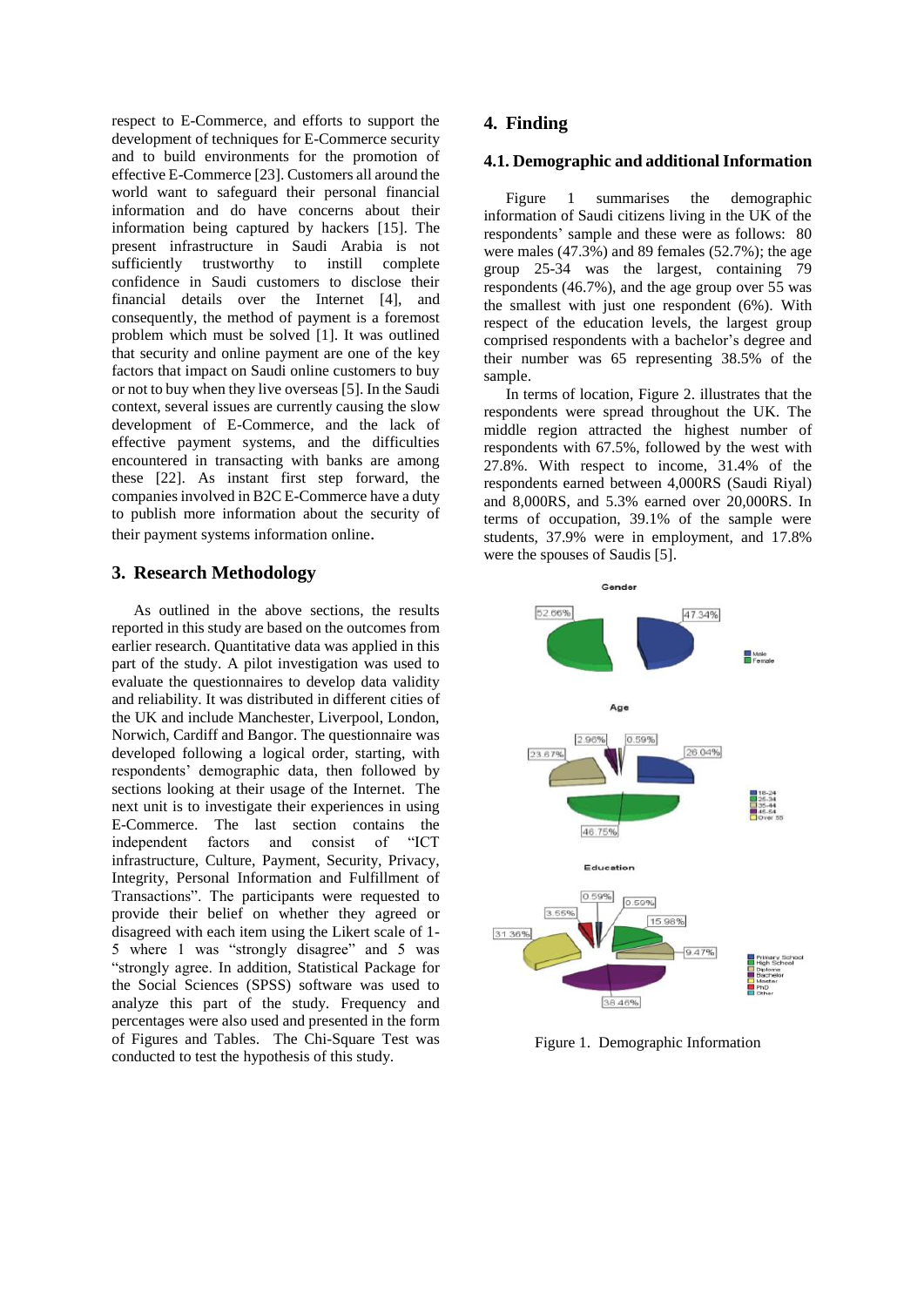respect to E-Commerce, and efforts to support the development of techniques for E-Commerce security and to build environments for the promotion of effective E-Commerce [23]. Customers all around the world want to safeguard their personal financial information and do have concerns about their information being captured by hackers [15]. The present infrastructure in Saudi Arabia is not sufficiently trustworthy to instill complete confidence in Saudi customers to disclose their financial details over the Internet [4], and consequently, the method of payment is a foremost problem which must be solved [1]. It was outlined that security and online payment are one of the key factors that impact on Saudi online customers to buy or not to buy when they live overseas [5]. In the Saudi context, several issues are currently causing the slow development of E-Commerce, and the lack of effective payment systems, and the difficulties encountered in transacting with banks are among these [22]. As instant first step forward, the companies involved in B2C E-Commerce have a duty to publish more information about the security of their payment systems information online.

## **3. Research Methodology**

As outlined in the above sections, the results reported in this study are based on the outcomes from earlier research. Quantitative data was applied in this part of the study. A pilot investigation was used to evaluate the questionnaires to develop data validity and reliability. It was distributed in different cities of the UK and include Manchester, Liverpool, London, Norwich, Cardiff and Bangor. The questionnaire was developed following a logical order, starting, with respondents' demographic data, then followed by sections looking at their usage of the Internet. The next unit is to investigate their experiences in using E-Commerce. The last section contains the independent factors and consist of "ICT infrastructure, Culture, Payment, Security, Privacy, Integrity, Personal Information and Fulfillment of Transactions". The participants were requested to provide their belief on whether they agreed or disagreed with each item using the Likert scale of 1- 5 where 1 was "strongly disagree" and 5 was "strongly agree. In addition, Statistical Package for the Social Sciences (SPSS) software was used to analyze this part of the study. Frequency and percentages were also used and presented in the form of Figures and Tables. The Chi-Square Test was conducted to test the hypothesis of this study.

## **4. Finding**

# **4.1. Demographic and additionalInformation**

Figure 1 summarises the demographic information of Saudi citizens living in the UK of the respondents' sample and these were as follows: 80 were males (47.3%) and 89 females (52.7%); the age group 25-34 was the largest, containing 79 respondents (46.7%), and the age group over 55 was the smallest with just one respondent (6%). With respect of the education levels, the largest group comprised respondents with a bachelor's degree and their number was 65 representing 38.5% of the sample.

In terms of location, Figure 2. illustrates that the respondents were spread throughout the UK. The middle region attracted the highest number of respondents with 67.5%, followed by the west with 27.8%. With respect to income, 31.4% of the respondents earned between 4,000RS (Saudi Riyal) and 8,000RS, and 5.3% earned over 20,000RS. In terms of occupation, 39.1% of the sample were students, 37.9% were in employment, and 17.8% were the spouses of Saudis [5].



Figure 1. Demographic Information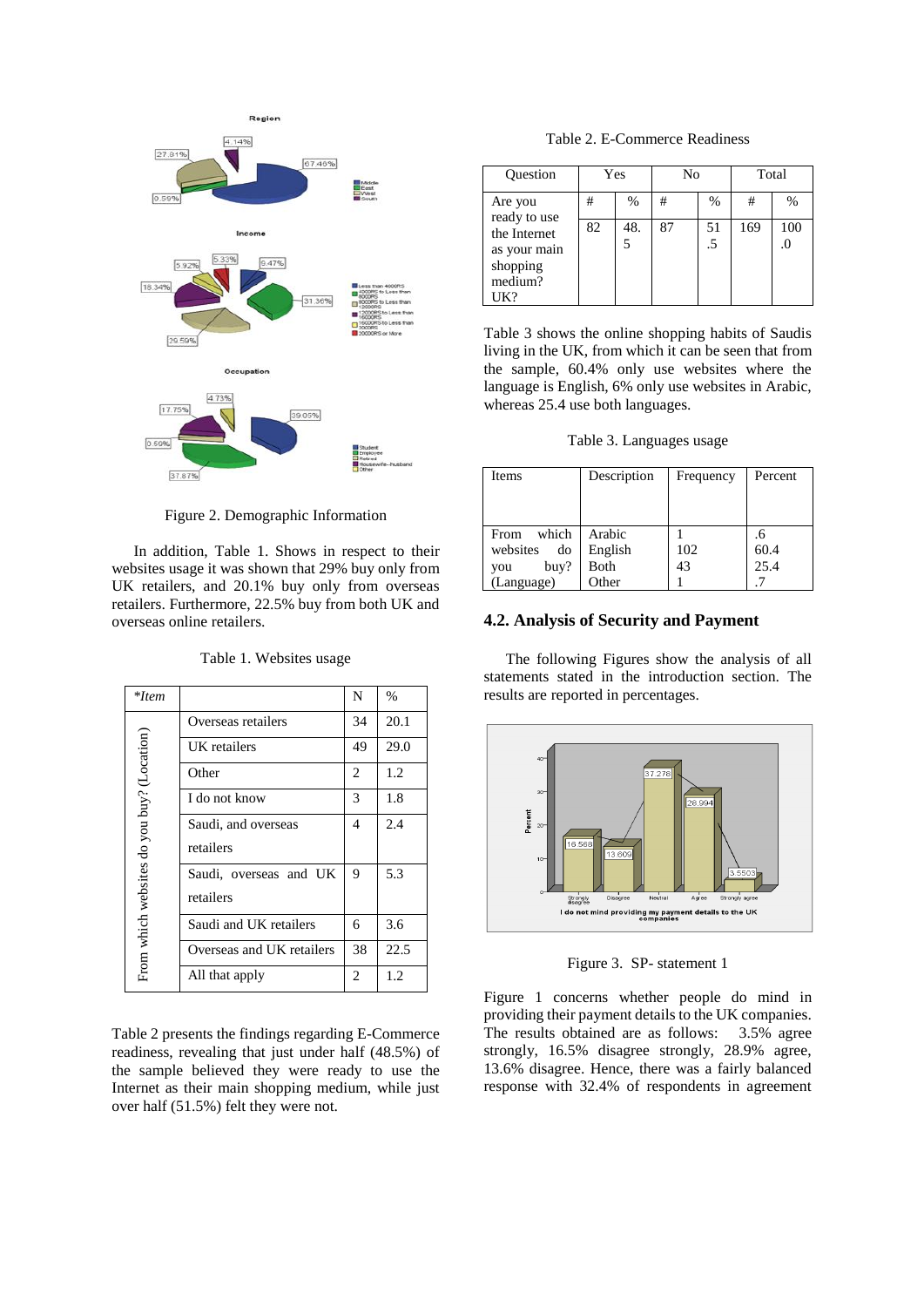

Figure 2. Demographic Information

In addition, Table 1. Shows in respect to their websites usage it was shown that 29% buy only from UK retailers, and 20.1% buy only from overseas retailers. Furthermore, 22.5% buy from both UK and overseas online retailers.

| *Item                                      |                           | N  | $\%$ |
|--------------------------------------------|---------------------------|----|------|
|                                            | Overseas retailers        | 34 | 20.1 |
|                                            | UK retailers              | 49 | 29.0 |
|                                            | Other                     | 2  | 1.2  |
|                                            | I do not know             | 3  | 1.8  |
| From which websites do you buy? (Location) | Saudi, and overseas       | 4  | 2.4  |
|                                            | retailers                 |    |      |
|                                            | Saudi, overseas and UK    | 9  | 5.3  |
|                                            | retailers                 |    |      |
|                                            | Saudi and UK retailers    | 6  | 3.6  |
|                                            | Overseas and UK retailers | 38 | 22.5 |
|                                            | All that apply            | 2  | 1.2  |

Table 1. Websites usage

Table 2 presents the findings regarding E-Commerce readiness, revealing that just under half (48.5%) of the sample believed they were ready to use the Internet as their main shopping medium, while just over half (51.5%) felt they were not.

Table 2. E-Commerce Readiness

| Question                     |    | Yes      | No |               | Total |               |
|------------------------------|----|----------|----|---------------|-------|---------------|
| Are you<br>ready to use      | #  | %        | #  | $\frac{0}{0}$ | #     | $\frac{0}{0}$ |
| the Internet<br>as your main | 82 | 48.<br>5 | 87 | 51<br>.5      | 169   | 100           |
| shopping<br>medium?          |    |          |    |               |       |               |
| UK?                          |    |          |    |               |       |               |

Table 3 shows the online shopping habits of Saudis living in the UK, from which it can be seen that from the sample, 60.4% only use websites where the language is English, 6% only use websites in Arabic, whereas 25.4 use both languages.

Table 3. Languages usage

| <b>Items</b>   | Description | Frequency | Percent |
|----------------|-------------|-----------|---------|
|                |             |           |         |
| which<br>From  | Arabic      |           | .6      |
| websites<br>do | English     | 102       | 60.4    |
| buy?<br>you    | Both        | 43        | 25.4    |
| (Language)     | Other       |           |         |

## **4.2. Analysis of Security and Payment**

The following Figures show the analysis of all statements stated in the introduction section. The results are reported in percentages.



Figure 3. SP- statement 1

Figure 1 concerns whether people do mind in providing their payment details to the UK companies. The results obtained are as follows: 3.5% agree strongly, 16.5% disagree strongly, 28.9% agree, 13.6% disagree. Hence, there was a fairly balanced response with 32.4% of respondents in agreement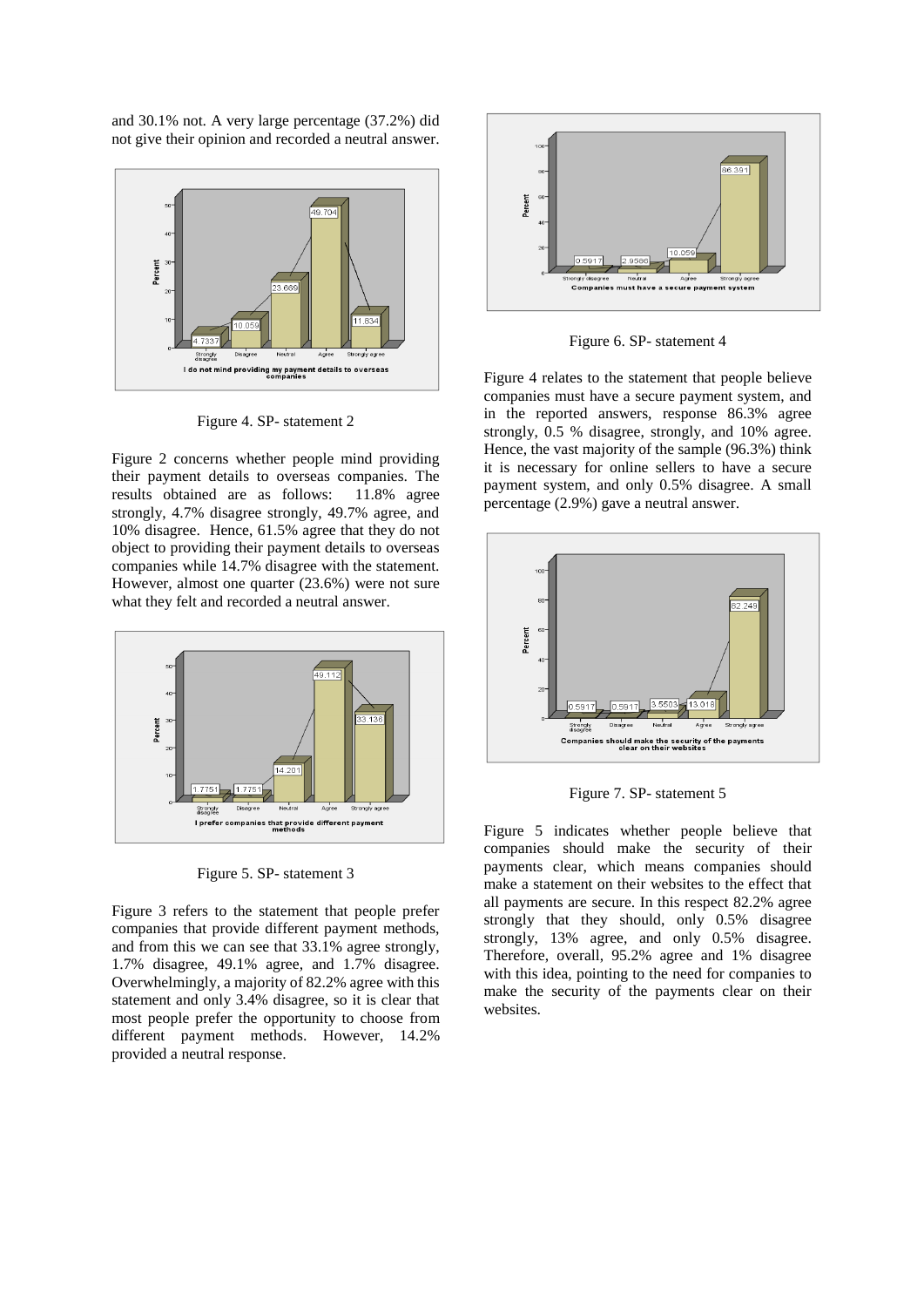and 30.1% not. A very large percentage (37.2%) did not give their opinion and recorded a neutral answer.



Figure 4. SP- statement 2

Figure 2 concerns whether people mind providing their payment details to overseas companies. The results obtained are as follows: 11.8% agree strongly, 4.7% disagree strongly, 49.7% agree, and 10% disagree. Hence, 61.5% agree that they do not object to providing their payment details to overseas companies while 14.7% disagree with the statement. However, almost one quarter (23.6%) were not sure what they felt and recorded a neutral answer.



Figure 5. SP- statement 3

Figure 3 refers to the statement that people prefer companies that provide different payment methods, and from this we can see that 33.1% agree strongly, 1.7% disagree, 49.1% agree, and 1.7% disagree. Overwhelmingly, a majority of 82.2% agree with this statement and only 3.4% disagree, so it is clear that most people prefer the opportunity to choose from different payment methods. However, 14.2% provided a neutral response.



Figure 6. SP- statement 4

Figure 4 relates to the statement that people believe companies must have a secure payment system, and in the reported answers, response 86.3% agree strongly, 0.5 % disagree, strongly, and 10% agree. Hence, the vast majority of the sample (96.3%) think it is necessary for online sellers to have a secure payment system, and only 0.5% disagree. A small percentage (2.9%) gave a neutral answer.



Figure 7. SP- statement 5

Figure 5 indicates whether people believe that companies should make the security of their payments clear, which means companies should make a statement on their websites to the effect that all payments are secure. In this respect 82.2% agree strongly that they should, only 0.5% disagree strongly, 13% agree, and only 0.5% disagree. Therefore, overall, 95.2% agree and 1% disagree with this idea, pointing to the need for companies to make the security of the payments clear on their websites.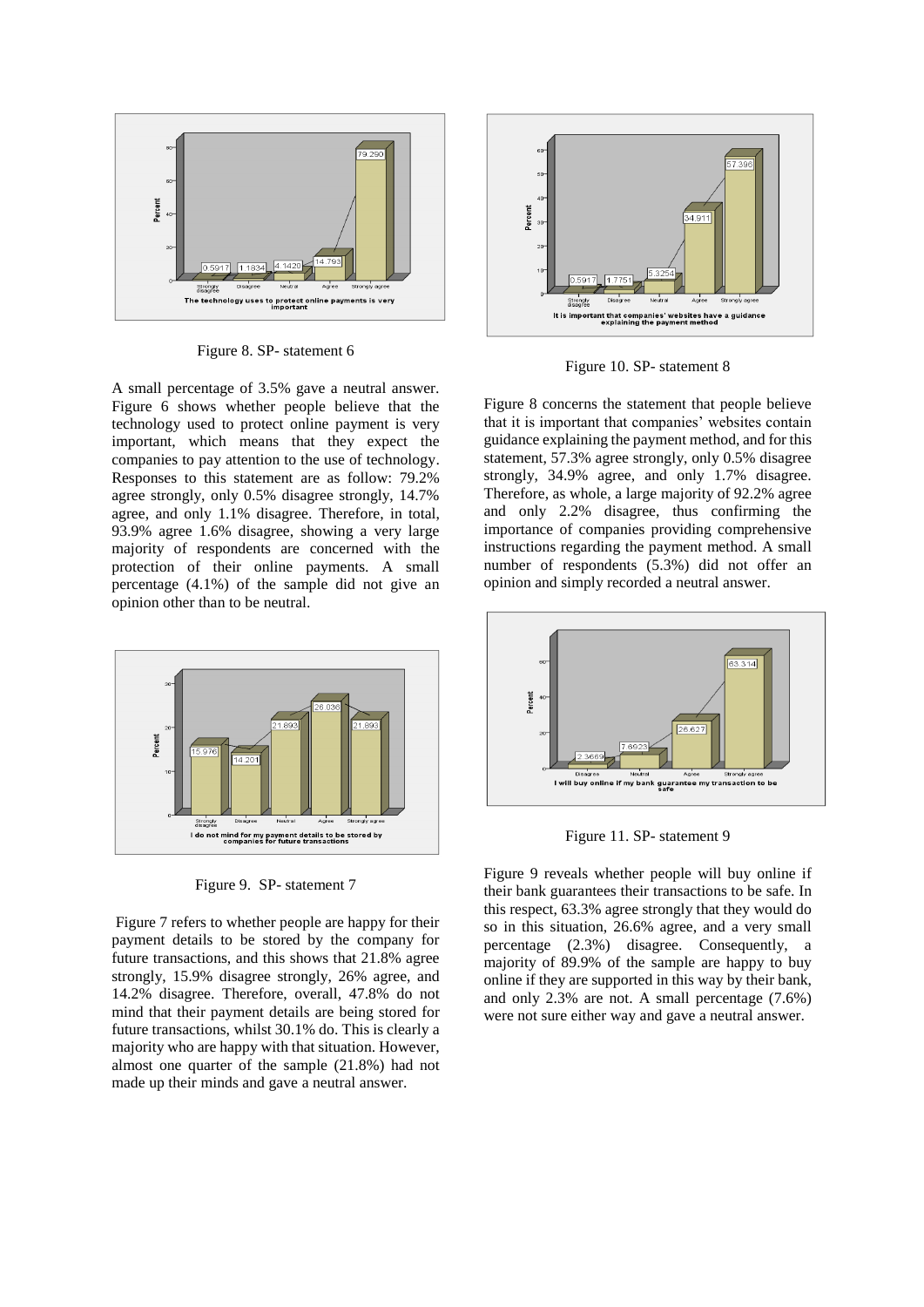

Figure 8. SP- statement 6

A small percentage of 3.5% gave a neutral answer. Figure 6 shows whether people believe that the technology used to protect online payment is very important, which means that they expect the companies to pay attention to the use of technology. Responses to this statement are as follow: 79.2% agree strongly, only 0.5% disagree strongly, 14.7% agree, and only 1.1% disagree. Therefore, in total, 93.9% agree 1.6% disagree, showing a very large majority of respondents are concerned with the protection of their online payments. A small percentage (4.1%) of the sample did not give an opinion other than to be neutral.



Figure 9. SP- statement 7

Figure 7 refers to whether people are happy for their payment details to be stored by the company for future transactions, and this shows that 21.8% agree strongly, 15.9% disagree strongly, 26% agree, and 14.2% disagree. Therefore, overall, 47.8% do not mind that their payment details are being stored for future transactions, whilst 30.1% do. This is clearly a majority who are happy with that situation. However, almost one quarter of the sample (21.8%) had not made up their minds and gave a neutral answer.



Figure 10. SP- statement 8

Figure 8 concerns the statement that people believe that it is important that companies' websites contain guidance explaining the payment method, and for this statement, 57.3% agree strongly, only 0.5% disagree strongly, 34.9% agree, and only 1.7% disagree. Therefore, as whole, a large majority of 92.2% agree and only 2.2% disagree, thus confirming the importance of companies providing comprehensive instructions regarding the payment method. A small number of respondents (5.3%) did not offer an opinion and simply recorded a neutral answer.



Figure 11. SP- statement 9

Figure 9 reveals whether people will buy online if their bank guarantees their transactions to be safe. In this respect, 63.3% agree strongly that they would do so in this situation, 26.6% agree, and a very small percentage (2.3%) disagree. Consequently, a majority of 89.9% of the sample are happy to buy online if they are supported in this way by their bank, and only 2.3% are not. A small percentage (7.6%) were not sure either way and gave a neutral answer.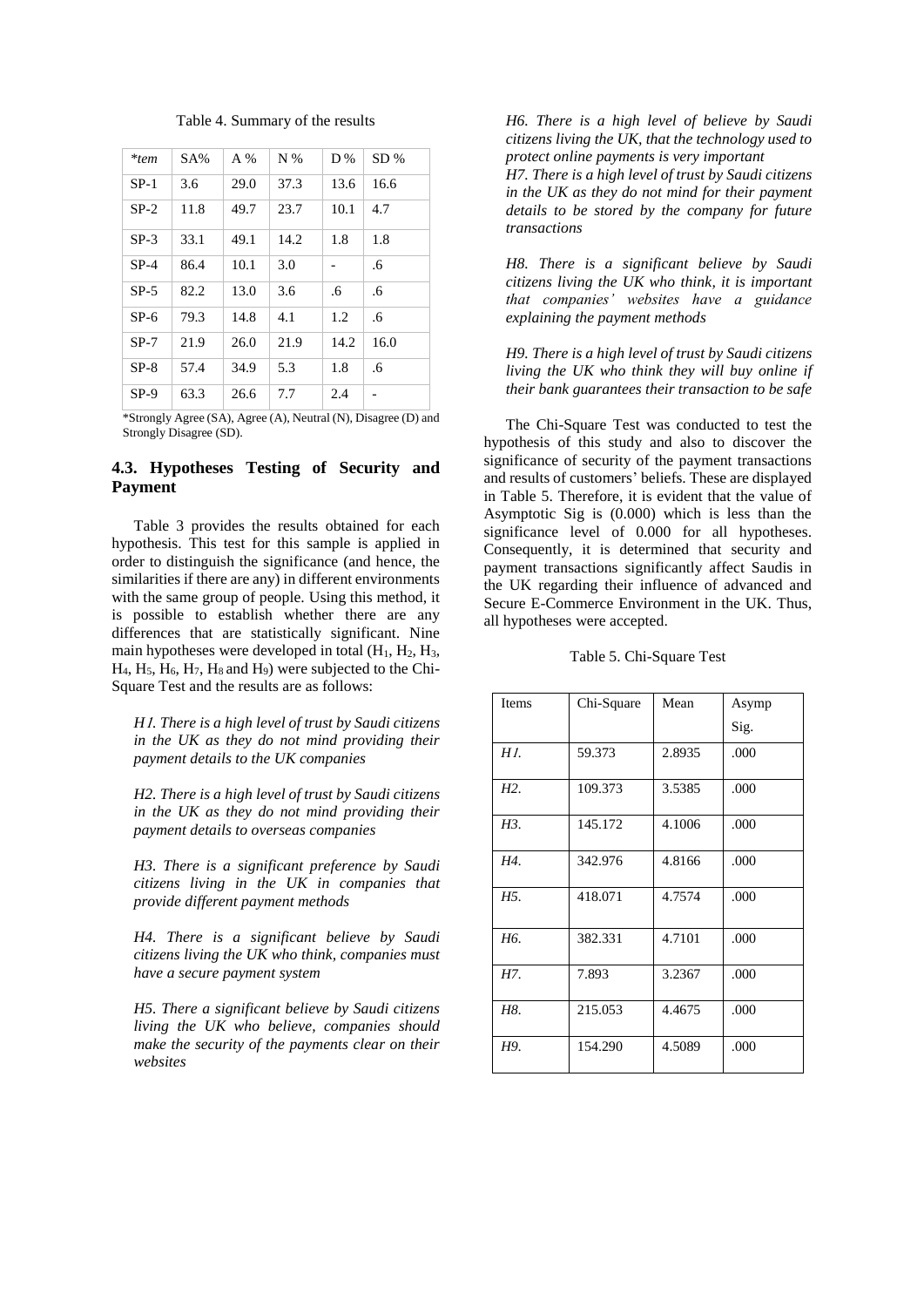|  | Table 4. Summary of the results |  |  |
|--|---------------------------------|--|--|
|--|---------------------------------|--|--|

| *tem   | $SA\%$ | $A\%$ | $N\%$ | D%   | SD%  |
|--------|--------|-------|-------|------|------|
| $SP-1$ | 3.6    | 29.0  | 37.3  | 13.6 | 16.6 |
| $SP-2$ | 11.8   | 49.7  | 23.7  | 10.1 | 4.7  |
| $SP-3$ | 33.1   | 49.1  | 14.2  | 1.8  | 1.8  |
| $SP-4$ | 86.4   | 10.1  | 3.0   |      | .6   |
| $SP-5$ | 82.2   | 13.0  | 3.6   | .6   | .6   |
| $SP-6$ | 79.3   | 14.8  | 4.1   | 1.2  | .6   |
| $SP-7$ | 21.9   | 26.0  | 21.9  | 14.2 | 16.0 |
| $SP-8$ | 57.4   | 34.9  | 5.3   | 1.8  | .6   |
| $SP-9$ | 63.3   | 26.6  | 7.7   | 2.4  |      |

\*Strongly Agree (SA), Agree (A), Neutral (N), Disagree (D) and Strongly Disagree (SD).

## **4.3. Hypotheses Testing of Security and Payment**

Table 3 provides the results obtained for each hypothesis. This test for this sample is applied in order to distinguish the significance (and hence, the similarities if there are any) in different environments with the same group of people. Using this method, it is possible to establish whether there are any differences that are statistically significant. Nine main hypotheses were developed in total  $(H_1, H_2, H_3)$ ,  $H_4$ ,  $H_5$ ,  $H_6$ ,  $H_7$ ,  $H_8$  and  $H_9$ ) were subjected to the Chi-Square Test and the results are as follows:

*H*1*. There is a high level of trust by Saudi citizens in the UK as they do not mind providing their payment details to the UK companies* 

*H2. There is a high level of trust by Saudi citizens in the UK as they do not mind providing their payment details to overseas companies*

*H3. There is a significant preference by Saudi citizens living in the UK in companies that provide different payment methods*

*H4. There is a significant believe by Saudi citizens living the UK who think, companies must have a secure payment system*

*H5. There a significant believe by Saudi citizens living the UK who believe, companies should make the security of the payments clear on their websites*

*H6. There is a high level of believe by Saudi citizens living the UK, that the technology used to protect online payments is very important*

*H7. There is a high level of trust by Saudi citizens in the UK as they do not mind for their payment details to be stored by the company for future transactions*

*H8. There is a significant believe by Saudi citizens living the UK who think, it is important that companies' websites have a guidance explaining the payment methods*

*H9. There is a high level of trust by Saudi citizens living the UK who think they will buy online if their bank guarantees their transaction to be safe*

The Chi-Square Test was conducted to test the hypothesis of this study and also to discover the significance of security of the payment transactions and results of customers' beliefs. These are displayed in Table 5. Therefore, it is evident that the value of Asymptotic Sig is (0.000) which is less than the significance level of 0.000 for all hypotheses. Consequently, it is determined that security and payment transactions significantly affect Saudis in the UK regarding their influence of advanced and Secure E-Commerce Environment in the UK. Thus, all hypotheses were accepted.

Table 5. Chi-Square Test

| Items            | Chi-Square | Mean   | Asymp |
|------------------|------------|--------|-------|
|                  |            |        | Sig.  |
| H1.              | 59.373     | 2.8935 | .000  |
| H <sub>2</sub> . | 109.373    | 3.5385 | .000  |
| H3.              | 145.172    | 4.1006 | .000  |
| H4.              | 342.976    | 4.8166 | .000  |
| H <sub>5</sub> . | 418.071    | 4.7574 | .000  |
| H <sub>6</sub> . | 382.331    | 4.7101 | .000  |
| H7.              | 7.893      | 3.2367 | .000  |
| H8.              | 215.053    | 4.4675 | .000  |
| H9.              | 154.290    | 4.5089 | .000  |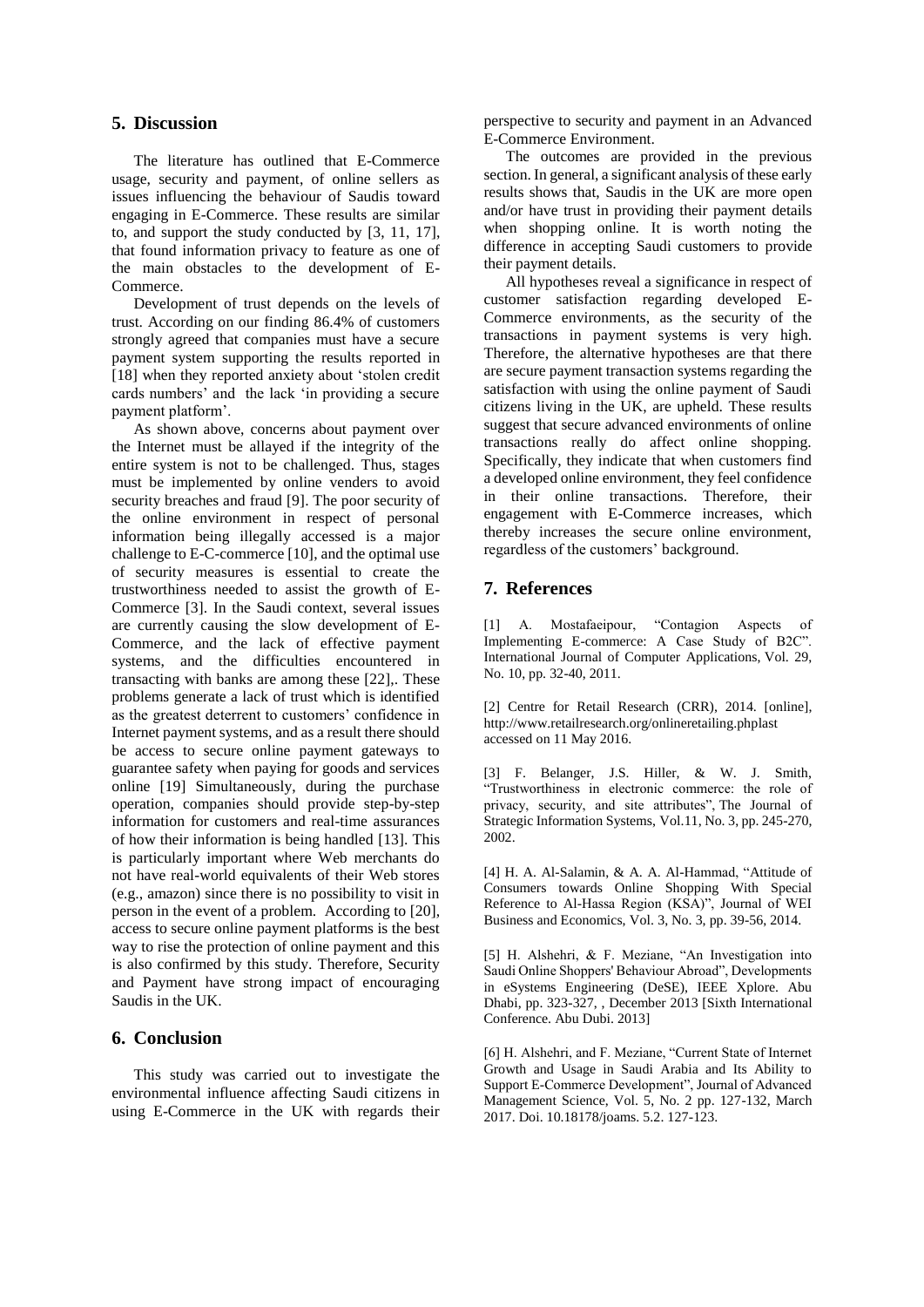# **5. Discussion**

The literature has outlined that E-Commerce usage, security and payment, of online sellers as issues influencing the behaviour of Saudis toward engaging in E-Commerce. These results are similar to, and support the study conducted by [3, 11, 17], that found information privacy to feature as one of the main obstacles to the development of E-Commerce.

Development of trust depends on the levels of trust. According on our finding 86.4% of customers strongly agreed that companies must have a secure payment system supporting the results reported in [18] when they reported anxiety about 'stolen credit cards numbers' and the lack 'in providing a secure payment platform'.

As shown above, concerns about payment over the Internet must be allayed if the integrity of the entire system is not to be challenged. Thus, stages must be implemented by online venders to avoid security breaches and fraud [9]. The poor security of the online environment in respect of personal information being illegally accessed is a major challenge to E-C-commerce [10], and the optimal use of security measures is essential to create the trustworthiness needed to assist the growth of E-Commerce [3]. In the Saudi context, several issues are currently causing the slow development of E-Commerce, and the lack of effective payment systems, and the difficulties encountered in transacting with banks are among these [22],. These problems generate a lack of trust which is identified as the greatest deterrent to customers' confidence in Internet payment systems, and as a result there should be access to secure online payment gateways to guarantee safety when paying for goods and services online [19] Simultaneously, during the purchase operation, companies should provide step-by-step information for customers and real-time assurances of how their information is being handled [13]. This is particularly important where Web merchants do not have real-world equivalents of their Web stores (e.g., amazon) since there is no possibility to visit in person in the event of a problem. According to [20], access to secure online payment platforms is the best way to rise the protection of online payment and this is also confirmed by this study. Therefore, Security and Payment have strong impact of encouraging Saudis in the UK.

#### **6. Conclusion**

This study was carried out to investigate the environmental influence affecting Saudi citizens in using E-Commerce in the UK with regards their perspective to security and payment in an Advanced E-Commerce Environment.

The outcomes are provided in the previous section. In general, a significant analysis of these early results shows that, Saudis in the UK are more open and/or have trust in providing their payment details when shopping online. It is worth noting the difference in accepting Saudi customers to provide their payment details.

All hypotheses reveal a significance in respect of customer satisfaction regarding developed E-Commerce environments, as the security of the transactions in payment systems is very high. Therefore, the alternative hypotheses are that there are secure payment transaction systems regarding the satisfaction with using the online payment of Saudi citizens living in the UK, are upheld. These results suggest that secure advanced environments of online transactions really do affect online shopping. Specifically, they indicate that when customers find a developed online environment, they feel confidence in their online transactions. Therefore, their engagement with E-Commerce increases, which thereby increases the secure online environment, regardless of the customers' background.

# **7. References**

[1] A. Mostafaeipour, "Contagion Aspects of Implementing E-commerce: A Case Study of B2C". International Journal of Computer Applications, Vol. 29, No. 10, pp. 32-40, 2011.

[2] Centre for Retail Research (CRR), 2014. [online], http://www.retailresearch.org/onlineretailing.phplast accessed on 11 May 2016.

[3] F. Belanger, J.S. Hiller, & W. J. Smith, "Trustworthiness in electronic commerce: the role of privacy, security, and site attributes", The Journal of Strategic Information Systems, Vol.11, No. 3, pp. 245-270, 2002.

[4] H. A. Al-Salamin, & A. A. Al-Hammad, "Attitude of Consumers towards Online Shopping With Special Reference to Al-Hassa Region (KSA)", Journal of WEI Business and Economics, Vol. 3, No. 3, pp. 39-56, 2014.

[5] H. Alshehri, & F. Meziane, "An Investigation into Saudi Online Shoppers' Behaviour Abroad", Developments in eSystems Engineering (DeSE), IEEE Xplore. Abu Dhabi, pp. 323-327, , December 2013 [Sixth International Conference. Abu Dubi. 2013]

[6] H. Alshehri, and F. Meziane, "Current State of Internet Growth and Usage in Saudi Arabia and Its Ability to Support E-Commerce Development", Journal of Advanced Management Science, Vol. 5, No. 2 pp. 127-132, March 2017. Doi. 10.18178/joams. 5.2. 127-123.